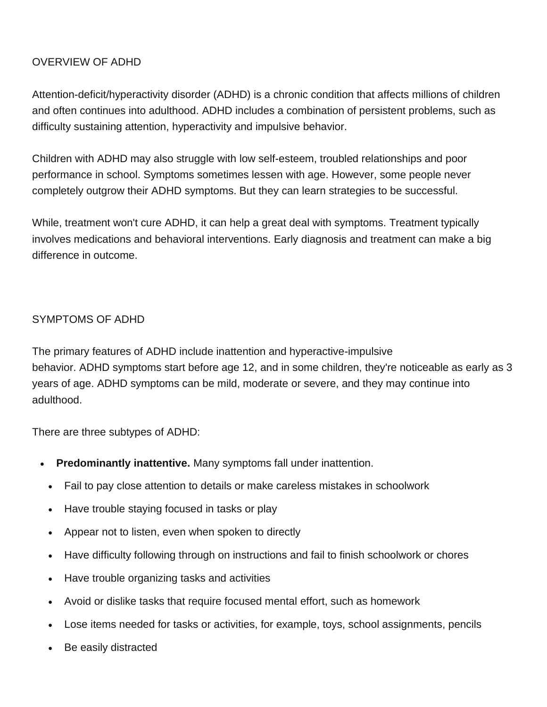# OVERVIEW OF ADHD

Attention-deficit/hyperactivity disorder (ADHD) is a chronic condition that affects millions of children and often continues into adulthood. ADHD includes a combination of persistent problems, such as difficulty sustaining attention, hyperactivity and impulsive behavior.

Children with ADHD may also struggle with low self-esteem, troubled relationships and poor performance in school. Symptoms sometimes lessen with age. However, some people never completely outgrow their ADHD symptoms. But they can learn strategies to be successful.

While, treatment won't cure ADHD, it can help a great deal with symptoms. Treatment typically involves medications and behavioral interventions. Early diagnosis and treatment can make a big difference in outcome.

# SYMPTOMS OF ADHD

The primary features of ADHD include inattention and hyperactive-impulsive behavior. ADHD symptoms start before age 12, and in some children, they're noticeable as early as 3 years of age. ADHD symptoms can be mild, moderate or severe, and they may continue into adulthood.

There are three subtypes of ADHD:

- **Predominantly inattentive.** Many symptoms fall under inattention.
	- Fail to pay close attention to details or make careless mistakes in schoolwork
	- Have trouble staying focused in tasks or play
	- Appear not to listen, even when spoken to directly
	- Have difficulty following through on instructions and fail to finish schoolwork or chores
	- Have trouble organizing tasks and activities
	- Avoid or dislike tasks that require focused mental effort, such as homework
	- Lose items needed for tasks or activities, for example, toys, school assignments, pencils
	- Be easily distracted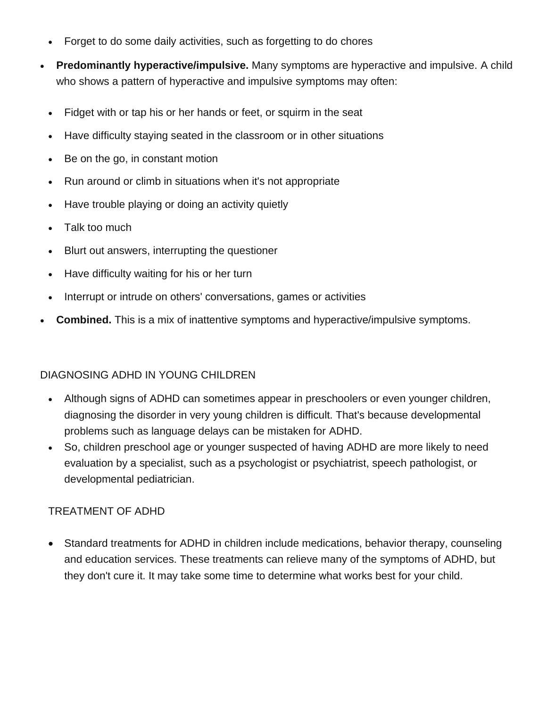- Forget to do some daily activities, such as forgetting to do chores
- **Predominantly hyperactive/impulsive.** Many symptoms are hyperactive and impulsive. A child who shows a pattern of hyperactive and impulsive symptoms may often:
	- Fidget with or tap his or her hands or feet, or squirm in the seat
	- Have difficulty staying seated in the classroom or in other situations
	- Be on the go, in constant motion
	- Run around or climb in situations when it's not appropriate
	- Have trouble playing or doing an activity quietly
	- Talk too much
	- Blurt out answers, interrupting the questioner
	- Have difficulty waiting for his or her turn
	- Interrupt or intrude on others' conversations, games or activities
- **Combined.** This is a mix of inattentive symptoms and hyperactive/impulsive symptoms.

# DIAGNOSING ADHD IN YOUNG CHILDREN

- Although signs of ADHD can sometimes appear in preschoolers or even younger children, diagnosing the disorder in very young children is difficult. That's because developmental problems such as language delays can be mistaken for ADHD.
- So, children preschool age or younger suspected of having ADHD are more likely to need evaluation by a specialist, such as a psychologist or psychiatrist, speech pathologist, or developmental pediatrician.

#### TREATMENT OF ADHD

• Standard treatments for ADHD in children include medications, behavior therapy, counseling and education services. These treatments can relieve many of the symptoms of ADHD, but they don't cure it. It may take some time to determine what works best for your child.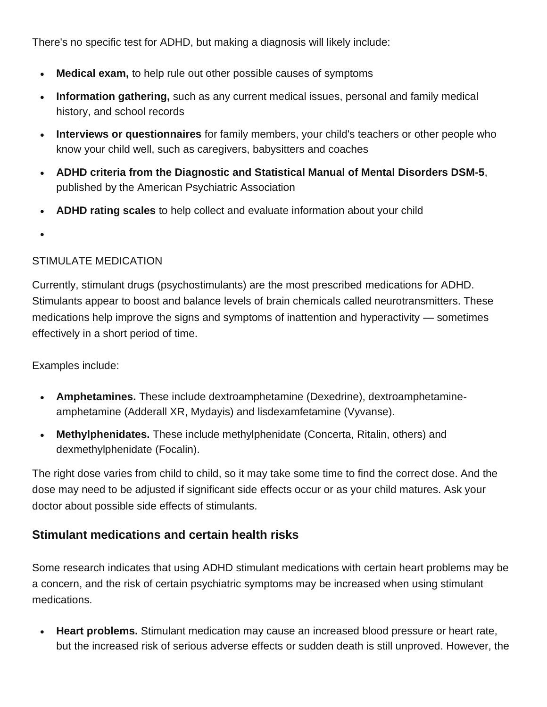There's no specific test for ADHD, but making a diagnosis will likely include:

- **Medical exam,** to help rule out other possible causes of symptoms
- **Information gathering,** such as any current medical issues, personal and family medical history, and school records
- **Interviews or questionnaires** for family members, your child's teachers or other people who know your child well, such as caregivers, babysitters and coaches
- **ADHD criteria from the Diagnostic and Statistical Manual of Mental Disorders DSM-5**, published by the American Psychiatric Association
- **ADHD rating scales** to help collect and evaluate information about your child
- •

# STIMULATE MEDICATION

Currently, stimulant drugs (psychostimulants) are the most prescribed medications for ADHD. Stimulants appear to boost and balance levels of brain chemicals called neurotransmitters. These medications help improve the signs and symptoms of inattention and hyperactivity — sometimes effectively in a short period of time.

Examples include:

- **Amphetamines.** These include dextroamphetamine (Dexedrine), dextroamphetamineamphetamine (Adderall XR, Mydayis) and lisdexamfetamine (Vyvanse).
- **Methylphenidates.** These include methylphenidate (Concerta, Ritalin, others) and dexmethylphenidate (Focalin).

The right dose varies from child to child, so it may take some time to find the correct dose. And the dose may need to be adjusted if significant side effects occur or as your child matures. Ask your doctor about possible side effects of stimulants.

# **Stimulant medications and certain health risks**

Some research indicates that using ADHD stimulant medications with certain heart problems may be a concern, and the risk of certain psychiatric symptoms may be increased when using stimulant medications.

• **Heart problems.** Stimulant medication may cause an increased blood pressure or heart rate, but the increased risk of serious adverse effects or sudden death is still unproved. However, the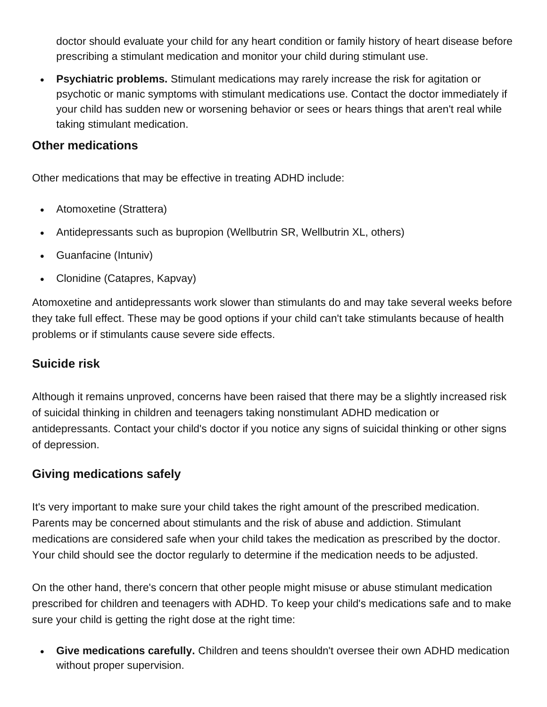doctor should evaluate your child for any heart condition or family history of heart disease before prescribing a stimulant medication and monitor your child during stimulant use.

• **Psychiatric problems.** Stimulant medications may rarely increase the risk for agitation or psychotic or manic symptoms with stimulant medications use. Contact the doctor immediately if your child has sudden new or worsening behavior or sees or hears things that aren't real while taking stimulant medication.

# **Other medications**

Other medications that may be effective in treating ADHD include:

- Atomoxetine (Strattera)
- Antidepressants such as bupropion (Wellbutrin SR, Wellbutrin XL, others)
- Guanfacine (Intuniv)
- Clonidine (Catapres, Kapvay)

Atomoxetine and antidepressants work slower than stimulants do and may take several weeks before they take full effect. These may be good options if your child can't take stimulants because of health problems or if stimulants cause severe side effects.

# **Suicide risk**

Although it remains unproved, concerns have been raised that there may be a slightly increased risk of suicidal thinking in children and teenagers taking nonstimulant ADHD medication or antidepressants. Contact your child's doctor if you notice any signs of suicidal thinking or other signs of depression.

# **Giving medications safely**

It's very important to make sure your child takes the right amount of the prescribed medication. Parents may be concerned about stimulants and the risk of abuse and addiction. Stimulant medications are considered safe when your child takes the medication as prescribed by the doctor. Your child should see the doctor regularly to determine if the medication needs to be adjusted.

On the other hand, there's concern that other people might misuse or abuse stimulant medication prescribed for children and teenagers with ADHD. To keep your child's medications safe and to make sure your child is getting the right dose at the right time:

• **Give medications carefully.** Children and teens shouldn't oversee their own ADHD medication without proper supervision.